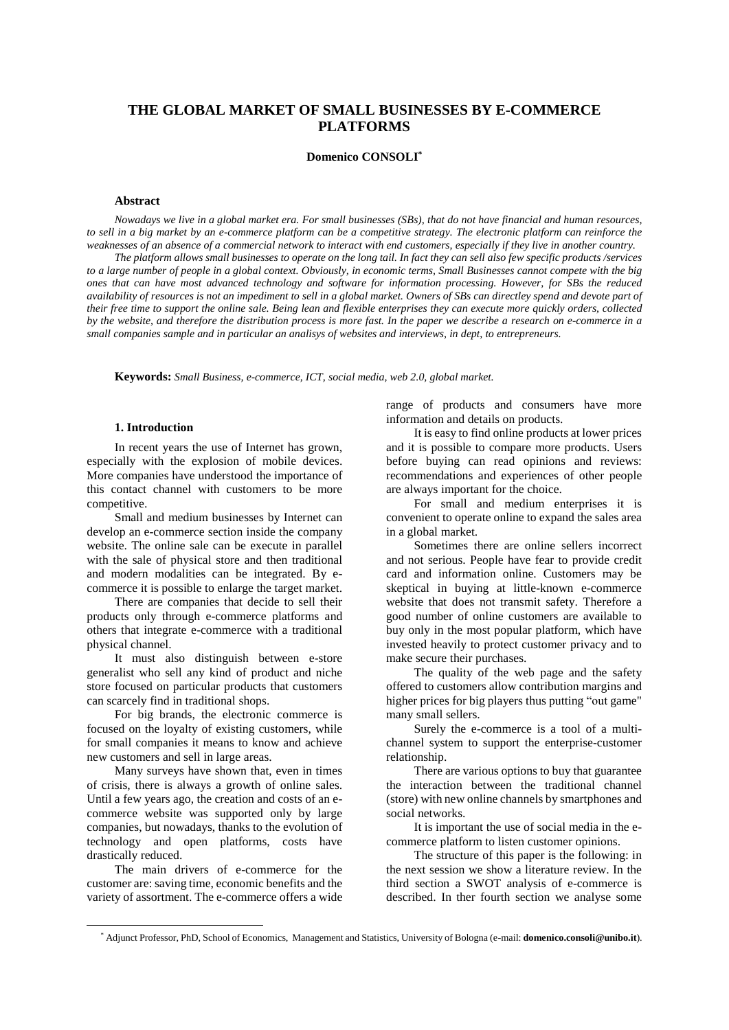# **THE GLOBAL MARKET OF SMALL BUSINESSES BY E-COMMERCE PLATFORMS**

# **Domenico CONSOLI\***

# **Abstract**

Nowadays we live in a global market era. For small businesses (SBs), that do not have financial and human resources, to sell in a big market by an e-commerce platform can be a competitive strategy. The electronic platform can reinforce the weaknesses of an absence of a commercial network to interact with end customers, especially if they live in another country.

The platform allows small businesses to operate on the long tail. In fact they can sell also few specific products/services to a large number of people in a global context. Obviously, in economic terms, Small Businesses cannot compete with the big ones that can have most advanced technology and software for information processing. However, for SBs the reduced availability of resources is not an impediment to sell in a global market. Owners of SBs can directley spend and devote part of their free time to support the online sale. Being lean and flexible enterprises they can execute more quickly orders, collected by the website, and therefore the distribution process is more fast. In the paper we describe a research on e-commerce in a *small companies sample and in particular an analisys of websites and interviews, in dept, to entrepreneurs.*

**Keywords:** *Small Business, e-commerce, ICT, social media, web 2.0, global market.*

# **1. Introduction**

In recent years the use of Internet has grown, especially with the explosion of mobile devices. More companies have understood the importance of this contact channel with customers to be more competitive.

Small and medium businesses by Internet can develop an e-commerce section inside the company website. The online sale can be execute in parallel with the sale of physical store and then traditional and modern modalities can be integrated. By ecommerce it is possible to enlarge the target market.

There are companies that decide to sell their products only through e-commerce platforms and others that integrate e-commerce with a traditional physical channel.

It must also distinguish between e-store generalist who sell any kind of product and niche store focused on particular products that customers can scarcely find in traditional shops.

For big brands, the electronic commerce is focused on the loyalty of existing customers, while for small companies it means to know and achieve new customers and sell in large areas.

Many surveys have shown that, even in times of crisis, there is always a growth of online sales. Until a few years ago, the creation and costs of an ecommerce website was supported only by large companies, but nowadays, thanks to the evolution of technology and open platforms, costs have drastically reduced.

The main drivers of e-commerce for the customer are: saving time, economic benefits and the variety of assortment. The e-commerce offers a wide

range of products and consumers have more information and details on products.

It is easy to find online products at lower prices and it is possible to compare more products. Users before buying can read opinions and reviews: recommendations and experiences of other people are always important for the choice.

For small and medium enterprises it is convenient to operate online to expand the sales area in a global market.

Sometimes there are online sellers incorrect and not serious. People have fear to provide credit card and information online. Customers may be skeptical in buying at little-known e-commerce website that does not transmit safety. Therefore a good number of online customers are available to buy only in the most popular platform, which have invested heavily to protect customer privacy and to make secure their purchases.

The quality of the web page and the safety offered to customers allow contribution margins and higher prices for big players thus putting "out game" many small sellers.

Surely the e-commerce is a tool of a multichannel system to support the enterprise-customer relationship.

There are various options to buy that guarantee the interaction between the traditional channel (store) with new online channels by smartphones and social networks.

It is important the use of social media in the ecommerce platform to listen customer opinions.

The structure of this paper is the following: in the next session we show a literature review. In the third section a SWOT analysis of e-commerce is described. In ther fourth section we analyse some

<sup>\*</sup> Adjunct Professor, PhD, School of Economics, Management and Statistics, University of Bologna (e-mail: **domenico.consoli@unibo.it**).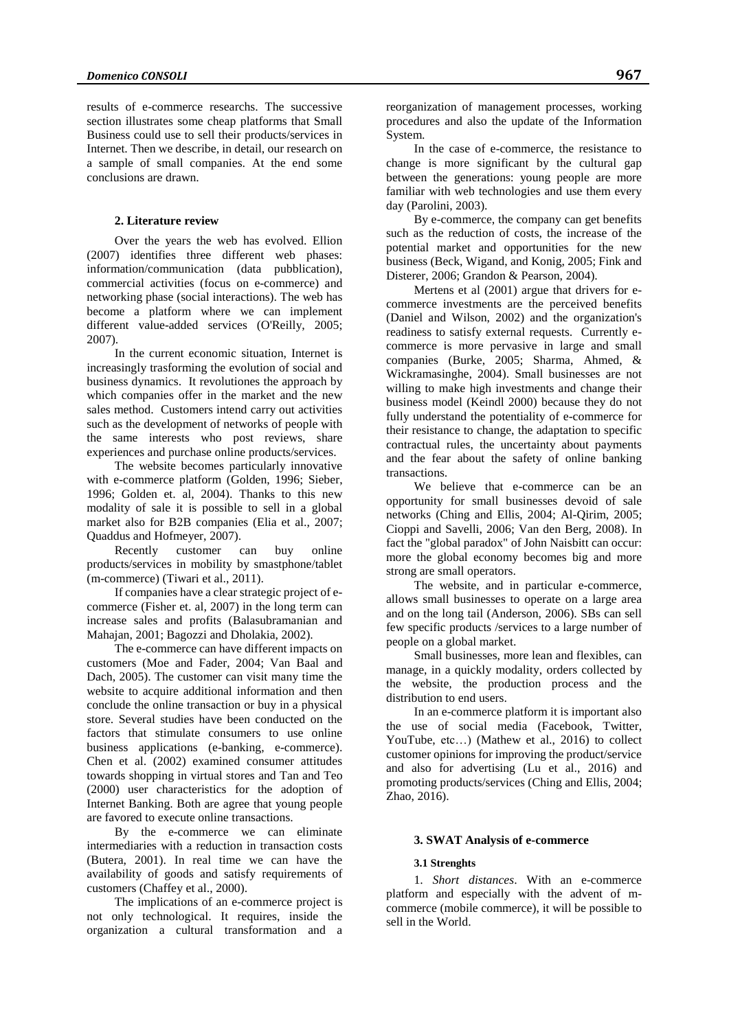results of e-commerce researchs. The successive section illustrates some cheap platforms that Small Business could use to sell their products/services in Internet. Then we describe, in detail, our research on a sample of small companies. At the end some conclusions are drawn.

# **2. Literature review**

Over the years the web has evolved. Ellion (2007) identifies three different web phases: information/communication (data pubblication), commercial activities (focus on e-commerce) and networking phase (social interactions). The web has become a platform where we can implement different value-added services (O'Reilly, 2005; 2007).

In the current economic situation, Internet is increasingly trasforming the evolution of social and business dynamics. It revolutiones the approach by which companies offer in the market and the new sales method. Customers intend carry out activities such as the development of networks of people with the same interests who post reviews, share experiences and purchase online products/services.

The website becomes particularly innovative with e-commerce platform (Golden, 1996; Sieber, 1996; Golden et. al, 2004). Thanks to this new modality of sale it is possible to sell in a global market also for B2B companies (Elia et al., 2007; Quaddus and Hofmeyer, 2007).

Recently customer can buy online products/services in mobility by smastphone/tablet (m-commerce) (Tiwari et al., 2011).

If companies have a clear strategic project of ecommerce (Fisher et. al, 2007) in the long term can increase sales and profits (Balasubramanian and Mahajan, 2001; Bagozzi and Dholakia, 2002).

The e-commerce can have different impacts on customers (Moe and Fader, 2004; Van Baal and Dach, 2005). The customer can visit many time the website to acquire additional information and then conclude the online transaction or buy in a physical store. Several studies have been conducted on the factors that stimulate consumers to use online business applications (e-banking, e-commerce). Chen et al. (2002) examined consumer attitudes towards shopping in virtual stores and Tan and Teo (2000) user characteristics for the adoption of Internet Banking. Both are agree that young people are favored to execute online transactions.

By the e-commerce we can eliminate intermediaries with a reduction in transaction costs (Butera, 2001). In real time we can have the availability of goods and satisfy requirements of customers (Chaffey et al., 2000).

The implications of an e-commerce project is not only technological. It requires, inside the organization a cultural transformation and a

reorganization of management processes, working procedures and also the update of the Information System.

In the case of e-commerce, the resistance to change is more significant by the cultural gap between the generations: young people are more familiar with web technologies and use them every day (Parolini, 2003).

By e-commerce, the company can get benefits such as the reduction of costs, the increase of the potential market and opportunities for the new business (Beck, Wigand, and Konig, 2005; Fink and Disterer, 2006; Grandon & Pearson, 2004).

Mertens et al (2001) argue that drivers for ecommerce investments are the perceived benefits (Daniel and Wilson, 2002) and the organization's readiness to satisfy external requests. Currently ecommerce is more pervasive in large and small companies (Burke, 2005; Sharma, Ahmed, & Wickramasinghe, 2004). Small businesses are not willing to make high investments and change their business model (Keindl 2000) because they do not fully understand the potentiality of e-commerce for their resistance to change, the adaptation to specific contractual rules, the uncertainty about payments and the fear about the safety of online banking transactions.

We believe that e-commerce can be an opportunity for small businesses devoid of sale networks (Ching and Ellis, 2004; Al-Qirim, 2005; Cioppi and Savelli, 2006; Van den Berg, 2008). In fact the "global paradox" of John Naisbitt can occur: more the global economy becomes big and more strong are small operators.

The website, and in particular e-commerce, allows small businesses to operate on a large area and on the long tail (Anderson, 2006). SBs can sell few specific products /services to a large number of people on a global market.

Small businesses, more lean and flexibles, can manage, in a quickly modality, orders collected by the website, the production process and the distribution to end users.

In an e-commerce platform it is important also the use of social media (Facebook, Twitter, YouTube, etc…) (Mathew et al., 2016) to collect customer opinions for improving the product/service and also for advertising (Lu et al., 2016) and promoting products/services (Ching and Ellis, 2004; Zhao, 2016).

#### **3. SWAT Analysis of e-commerce**

# **3.1 Strenghts**

1. *Short distances*. With an e-commerce platform and especially with the advent of mcommerce (mobile commerce), it will be possible to sell in the World.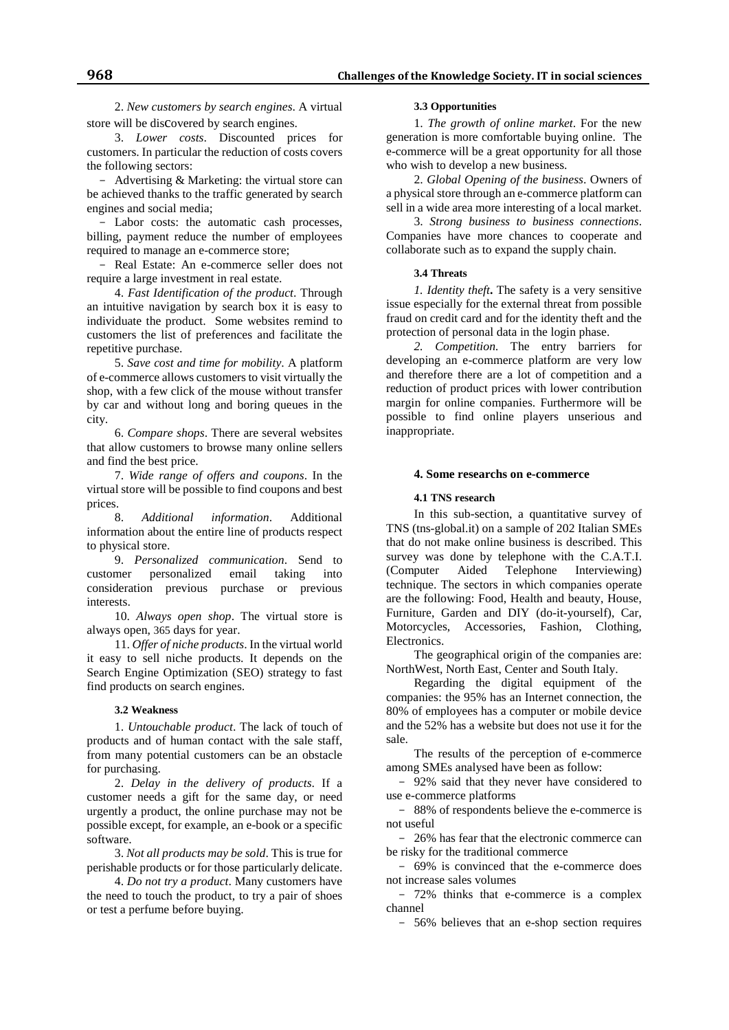2. *New customers by search engines*. A virtual store will be discovered by search engines.

3. *Lower costs*. Discounted prices for customers. In particular the reduction of costs covers the following sectors:

- Advertising & Marketing: the virtual store can be achieved thanks to the traffic generated by search engines and social media;

- Labor costs: the automatic cash processes, billing, payment reduce the number of employees required to manage an e-commerce store;

- Real Estate: An e-commerce seller does not require a large investment in real estate.

4. *Fast Identification of the product*. Through an intuitive navigation by search box it is easy to individuate the product. Some websites remind to customers the list of preferences and facilitate the repetitive purchase.

5. *Save cost and time for mobility*. A platform of e-commerce allows customers to visit virtually the shop, with a few click of the mouse without transfer by car and without long and boring queues in the city.

6. *Compare shops*. There are several websites that allow customers to browse many online sellers and find the best price.

7. *Wide range of offers and coupons*. In the virtual store will be possible to find coupons and best prices.

8. *Additional information*. Additional information about the entire line of products respect to physical store.

9. *Personalized communication*. Send to customer personalized email taking into consideration previous purchase or previous interests.

10. *Always open shop*. The virtual store is always open, 365 days for year.

11. *Offer of niche products*. In the virtual world it easy to sell niche products. It depends on the Search Engine Optimization (SEO) strategy to fast find products on search engines.

#### **3.2 Weakness**

1. *Untouchable product*. The lack of touch of products and of human contact with the sale staff, from many potential customers can be an obstacle for purchasing.

2. *Delay in the delivery of products*. If a customer needs a gift for the same day, or need urgently a product, the online purchase may not be possible except, for example, an e-book or a specific software.

3. *Not all products may be sold*. This is true for perishable products or for those particularly delicate.

4. *Do not try a product*. Many customers have the need to touch the product, to try a pair of shoes or test a perfume before buying.

### **3.3 Opportunities**

1. *The growth of online market*. For the new generation is more comfortable buying online. The e-commerce will be a great opportunity for all those who wish to develop a new business.

2. *Global Opening of the business*. Owners of a physical store through an e-commerce platform can sell in a wide area more interesting of a local market.

3. *Strong business to business connections*. Companies have more chances to cooperate and collaborate such as to expand the supply chain.

# **3.4 Threats**

*1. Identity theft***.** The safety is a very sensitive issue especially for the external threat from possible fraud on credit card and for the identity theft and the protection of personal data in the login phase.

*2. Competition.* The entry barriers for developing an e-commerce platform are very low and therefore there are a lot of competition and a reduction of product prices with lower contribution margin for online companies. Furthermore will be possible to find online players unserious and inappropriate.

# **4. Some researchs on e-commerce**

#### **4.1 TNS research**

In this sub-section, a quantitative survey of TNS (tns-global.it) on a sample of 202 Italian SMEs that do not make online business is described. This survey was done by telephone with the C.A.T.I.<br>(Computer Aided Telephone Interviewing) (Computer Aided Telephone Interviewing) technique. The sectors in which companies operate are the following: Food, Health and beauty, House, Furniture, Garden and DIY (do-it-yourself), Car, Motorcycles, Accessories, Fashion, Clothing, Electronics.

The geographical origin of the companies are: NorthWest, North East, Center and South Italy.

Regarding the digital equipment of the companies: the 95% has an Internet connection, the 80% of employees has a computer or mobile device and the 52% has a website but does not use it for the sale.

The results of the perception of e-commerce among SMEs analysed have been as follow:

 92% said that they never have considered to use e-commerce platforms

- 88% of respondents believe the e-commerce is not useful

 26% has fear that the electronic commerce can be risky for the traditional commerce

 69% is convinced that the e-commerce does not increase sales volumes

 72% thinks that e-commerce is a complex channel

56% believes that an e-shop section requires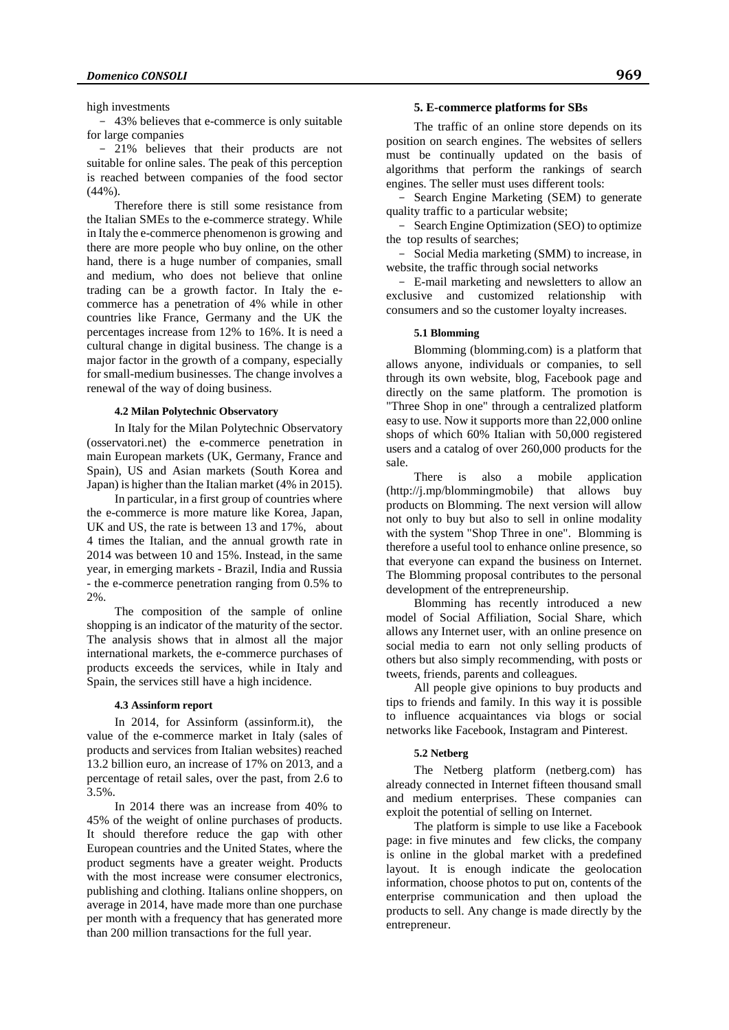### high investments

 43% believes that e-commerce is only suitable for large companies

 21% believes that their products are not suitable for online sales. The peak of this perception is reached between companies of the food sector (44%).

Therefore there is still some resistance from the Italian SMEs to the e-commerce strategy. While in Italy the e-commerce phenomenon is growing and there are more people who buy online, on the other hand, there is a huge number of companies, small and medium, who does not believe that online trading can be a growth factor. In Italy the ecommerce has a penetration of 4% while in other countries like France, Germany and the UK the percentages increase from 12% to 16%. It is need a cultural change in digital business. The change is a major factor in the growth of a company, especially for small-medium businesses. The change involves a renewal of the way of doing business.

### **4.2 Milan Polytechnic Observatory**

In Italy for the Milan Polytechnic Observatory (osservatori.net) the e-commerce penetration in main European markets (UK, Germany, France and Spain), US and Asian markets (South Korea and Japan) is higher than the Italian market (4% in 2015).

In particular, in a first group of countries where the e-commerce is more mature like Korea, Japan, UK and US, the rate is between 13 and 17%, about 4 times the Italian, and the annual growth rate in 2014 was between 10 and 15%. Instead, in the same year, in emerging markets - Brazil, India and Russia - the e-commerce penetration ranging from 0.5% to 2%.

The composition of the sample of online shopping is an indicator of the maturity of the sector. The analysis shows that in almost all the major international markets, the e-commerce purchases of products exceeds the services, while in Italy and Spain, the services still have a high incidence.

# **4.3 Assinform report**

In 2014, for Assinform (assinform.it), the value of the e-commerce market in Italy (sales of products and services from Italian websites) reached 13.2 billion euro, an increase of 17% on 2013, and a percentage of retail sales, over the past, from 2.6 to 3.5%.

In 2014 there was an increase from 40% to 45% of the weight of online purchases of products. It should therefore reduce the gap with other European countries and the United States, where the product segments have a greater weight. Products with the most increase were consumer electronics, publishing and clothing. Italians online shoppers, on average in 2014, have made more than one purchase per month with a frequency that has generated more than 200 million transactions for the full year.

### **5. E-commerce platforms for SBs**

The traffic of an online store depends on its position on search engines. The websites of sellers must be continually updated on the basis of algorithms that perform the rankings of search engines. The seller must uses different tools:

- Search Engine Marketing (SEM) to generate quality traffic to a particular website;

- Search Engine Optimization (SEO) to optimize the top results of searches;

- Social Media marketing (SMM) to increase, in website, the traffic through social networks

 E-mail marketing and newsletters to allow an exclusive and customized relationship with consumers and so the customer loyalty increases.

### **5.1 Blomming**

Blomming (blomming.com) is a platform that allows anyone, individuals or companies, to sell through its own website, blog, Facebook page and directly on the same platform. The promotion is "Three Shop in one" through a centralized platform easy to use. Now it supports more than 22,000 online shops of which 60% Italian with 50,000 registered users and a catalog of over 260,000 products for the sale.

There is also a mobile application (http://j.mp/blommingmobile) that allows buy products on Blomming. The next version will allow not only to buy but also to sell in online modality with the system "Shop Three in one". Blomming is therefore a useful tool to enhance online presence, so that everyone can expand the business on Internet. The Blomming proposal contributes to the personal development of the entrepreneurship.

Blomming has recently introduced a new model of Social Affiliation, Social Share, which allows any Internet user, with an online presence on social media to earn not only selling products of others but also simply recommending, with posts or tweets, friends, parents and colleagues.

All people give opinions to buy products and tips to friends and family. In this way it is possible to influence acquaintances via blogs or social networks like Facebook, Instagram and Pinterest.

#### **5.2 Netberg**

The Netberg platform (netberg.com) has already connected in Internet fifteen thousand small and medium enterprises. These companies can exploit the potential of selling on Internet.

The platform is simple to use like a Facebook page: in five minutes and few clicks, the company is online in the global market with a predefined layout. It is enough indicate the geolocation information, choose photos to put on, contents of the enterprise communication and then upload the products to sell. Any change is made directly by the entrepreneur.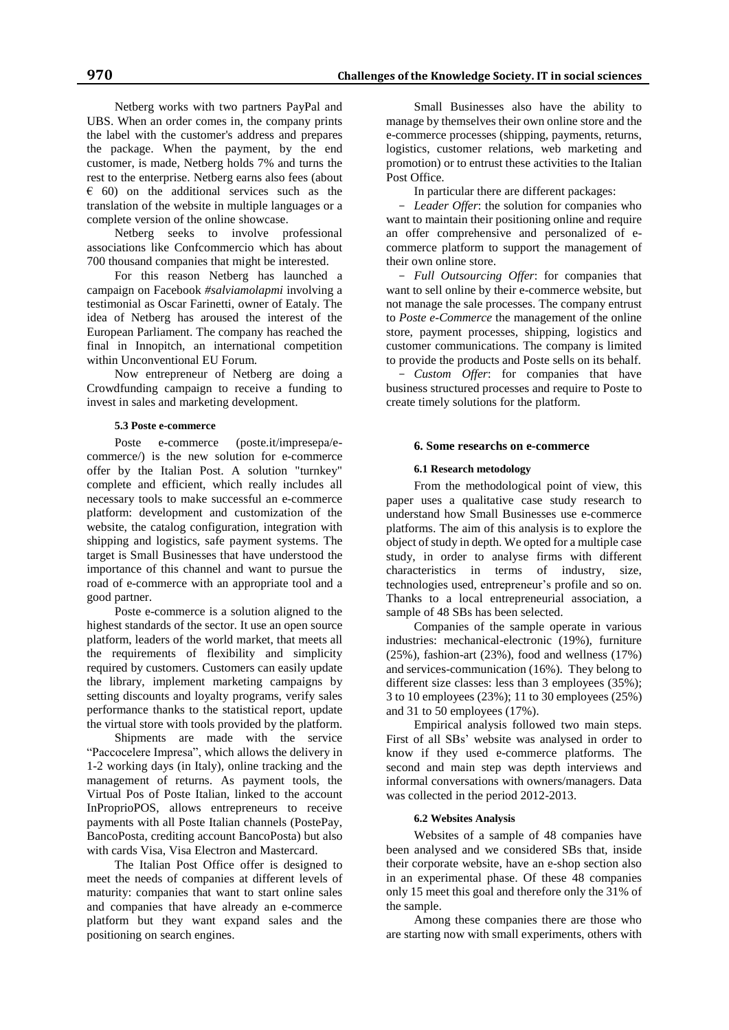Netberg works with two partners PayPal and UBS. When an order comes in, the company prints the label with the customer's address and prepares the package. When the payment, by the end customer, is made, Netberg holds 7% and turns the rest to the enterprise. Netberg earns also fees (about  $\epsilon$  60) on the additional services such as the translation of the website in multiple languages or a complete version of the online showcase.

Netberg seeks to involve professional associations like Confcommercio which has about 700 thousand companies that might be interested.

For this reason Netberg has launched a campaign on Facebook *#salviamolapmi* involving a testimonial as Oscar Farinetti, owner of Eataly. The idea of Netberg has aroused the interest of the European Parliament. The company has reached the final in Innopitch, an international competition within Unconventional EU Forum.

Now entrepreneur of Netberg are doing a Crowdfunding campaign to receive a funding to invest in sales and marketing development.

## **5.3 Poste e-commerce**

Poste e-commerce (poste.it/impresepa/ecommerce/) is the new solution for e-commerce offer by the Italian Post. A solution "turnkey" complete and efficient, which really includes all necessary tools to make successful an e-commerce platform: development and customization of the website, the catalog configuration, integration with shipping and logistics, safe payment systems. The target is Small Businesses that have understood the importance of this channel and want to pursue the road of e-commerce with an appropriate tool and a good partner.

Poste e-commerce is a solution aligned to the highest standards of the sector. It use an open source platform, leaders of the world market, that meets all the requirements of flexibility and simplicity required by customers. Customers can easily update the library, implement marketing campaigns by setting discounts and loyalty programs, verify sales performance thanks to the statistical report, update the virtual store with tools provided by the platform.

Shipments are made with the service "Paccocelere Impresa", which allows the delivery in 1-2 working days (in Italy), online tracking and the management of returns. As payment tools, the Virtual Pos of Poste Italian, linked to the account InProprioPOS, allows entrepreneurs to receive payments with all Poste Italian channels (PostePay, BancoPosta, crediting account BancoPosta) but also with cards Visa, Visa Electron and Mastercard.

The Italian Post Office offer is designed to meet the needs of companies at different levels of maturity: companies that want to start online sales and companies that have already an e-commerce platform but they want expand sales and the positioning on search engines.

Small Businesses also have the ability to manage by themselves their own online store and the e-commerce processes (shipping, payments, returns, logistics, customer relations, web marketing and promotion) or to entrust these activities to the Italian Post Office.

In particular there are different packages:

 *Leader Offer*: the solution for companies who want to maintain their positioning online and require an offer comprehensive and personalized of ecommerce platform to support the management of their own online store.

 *Full Outsourcing Offer*: for companies that want to sell online by their e-commerce website, but not manage the sale processes. The company entrust to *Poste e-Commerce* the management of the online store, payment processes, shipping, logistics and customer communications. The company is limited to provide the products and Poste sells on its behalf.

 *Custom Offer*: for companies that have business structured processes and require to Poste to create timely solutions for the platform.

#### **6. Some researchs on e-commerce**

#### **6.1 Research metodology**

From the methodological point of view, this paper uses a qualitative case study research to understand how Small Businesses use e-commerce platforms. The aim of this analysis is to explore the object of study in depth. We opted for a multiple case study, in order to analyse firms with different characteristics in terms of industry, size, technologies used, entrepreneur's profile and so on. Thanks to a local entrepreneurial association, a sample of 48 SBs has been selected.

Companies of the sample operate in various industries: mechanical-electronic (19%), furniture (25%), fashion-art (23%), food and wellness (17%) and services-communication (16%). They belong to different size classes: less than 3 employees (35%); 3 to 10 employees (23%); 11 to 30 employees (25%) and 31 to 50 employees (17%).

Empirical analysis followed two main steps. First of all SBs' website was analysed in order to know if they used e-commerce platforms. The second and main step was depth interviews and informal conversations with owners/managers. Data was collected in the period 2012-2013.

#### **6.2 Websites Analysis**

Websites of a sample of 48 companies have been analysed and we considered SBs that, inside their corporate website, have an e-shop section also in an experimental phase. Of these 48 companies only 15 meet this goal and therefore only the 31% of the sample.

Among these companies there are those who are starting now with small experiments, others with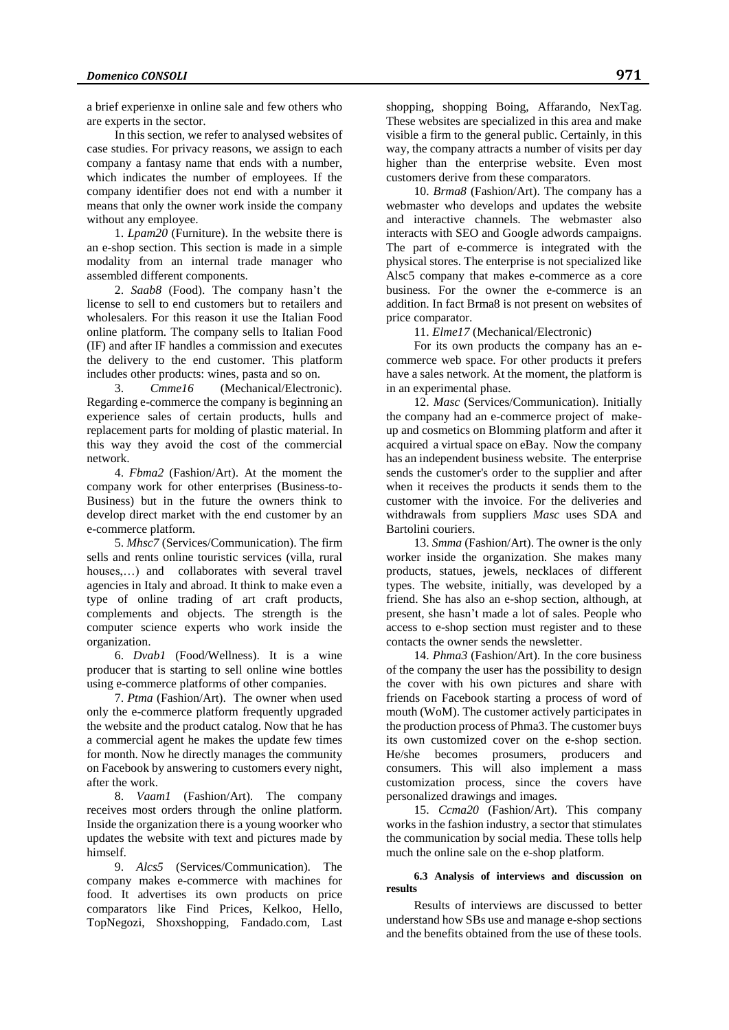a brief experienxe in online sale and few others who are experts in the sector.

In this section, we refer to analysed websites of case studies. For privacy reasons, we assign to each company a fantasy name that ends with a number, which indicates the number of employees. If the company identifier does not end with a number it means that only the owner work inside the company without any employee.

1. *Lpam20* (Furniture). In the website there is an e-shop section. This section is made in a simple modality from an internal trade manager who assembled different components.

2. *Saab8* (Food). The company hasn't the license to sell to end customers but to retailers and wholesalers. For this reason it use the Italian Food online platform. The company sells to Italian Food (IF) and after IF handles a commission and executes the delivery to the end customer. This platform includes other products: wines, pasta and so on.

3. *Cmme16* (Mechanical/Electronic). Regarding e-commerce the company is beginning an experience sales of certain products, hulls and replacement parts for molding of plastic material. In this way they avoid the cost of the commercial network.

4. *Fbma2* (Fashion/Art). At the moment the company work for other enterprises (Business-to-Business) but in the future the owners think to develop direct market with the end customer by an e-commerce platform.

5. *Mhsc7* (Services/Communication). The firm sells and rents online touristic services (villa, rural houses,...) and collaborates with several travel agencies in Italy and abroad. It think to make even a type of online trading of art craft products, complements and objects. The strength is the computer science experts who work inside the organization.

6. *Dvab1* (Food/Wellness). It is a wine producer that is starting to sell online wine bottles using e-commerce platforms of other companies.

7. *Ptma* (Fashion/Art). The owner when used only the e-commerce platform frequently upgraded the website and the product catalog. Now that he has a commercial agent he makes the update few times for month. Now he directly manages the community on Facebook by answering to customers every night, after the work.

8. *Vaam1* (Fashion/Art). The company receives most orders through the online platform. Inside the organization there is a young woorker who updates the website with text and pictures made by himself.

9. *Alcs5* (Services/Communication). The company makes e-commerce with machines for food. It advertises its own products on price comparators like Find Prices, Kelkoo, Hello, TopNegozi, Shoxshopping, Fandado.com, Last

shopping, shopping Boing, Affarando, NexTag. These websites are specialized in this area and make visible a firm to the general public. Certainly, in this way, the company attracts a number of visits per day higher than the enterprise website. Even most customers derive from these comparators.

10. *Brma8* (Fashion/Art). The company has a webmaster who develops and updates the website and interactive channels. The webmaster also interacts with SEO and Google adwords campaigns. The part of e-commerce is integrated with the physical stores. The enterprise is not specialized like Alsc5 company that makes e-commerce as a core business. For the owner the e-commerce is an addition. In fact Brma8 is not present on websites of price comparator.

11. *Elme17* (Mechanical/Electronic)

For its own products the company has an ecommerce web space. For other products it prefers have a sales network. At the moment, the platform is in an experimental phase.

12. *Masc* (Services/Communication). Initially the company had an e-commerce project of makeup and cosmetics on Blomming platform and after it acquired a virtual space on eBay. Now the company has an independent business website. The enterprise sends the customer's order to the supplier and after when it receives the products it sends them to the customer with the invoice. For the deliveries and withdrawals from suppliers *Masc* uses SDA and Bartolini couriers.

13. *Smma* (Fashion/Art). The owner is the only worker inside the organization. She makes many products, statues, jewels, necklaces of different types. The website, initially, was developed by a friend. She has also an e-shop section, although, at present, she hasn't made a lot of sales. People who access to e-shop section must register and to these contacts the owner sends the newsletter.

14. *Phma3* (Fashion/Art). In the core business of the company the user has the possibility to design the cover with his own pictures and share with friends on Facebook starting a process of word of mouth (WoM). The customer actively participates in the production process of Phma3. The customer buys its own customized cover on the e-shop section. He/she becomes prosumers, producers and consumers. This will also implement a mass customization process, since the covers have personalized drawings and images.

15. *Ccma20* (Fashion/Art). This company works in the fashion industry, a sector that stimulates the communication by social media. These tolls help much the online sale on the e-shop platform.

# **6.3 Analysis of interviews and discussion on results**

Results of interviews are discussed to better understand how SBs use and manage e-shop sections and the benefits obtained from the use of these tools.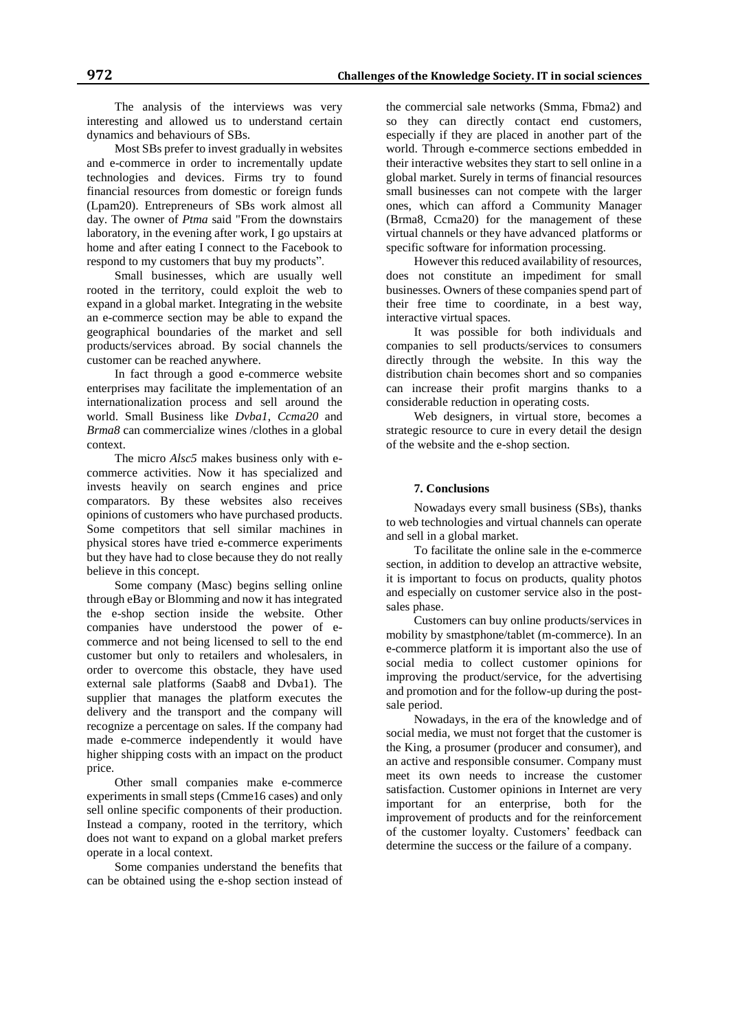The analysis of the interviews was very interesting and allowed us to understand certain dynamics and behaviours of SBs.

Most SBs prefer to invest gradually in websites and e-commerce in order to incrementally update technologies and devices. Firms try to found financial resources from domestic or foreign funds (Lpam20). Entrepreneurs of SBs work almost all day. The owner of *Ptma* said "From the downstairs laboratory, in the evening after work, I go upstairs at home and after eating I connect to the Facebook to respond to my customers that buy my products".

Small businesses, which are usually well rooted in the territory, could exploit the web to expand in a global market. Integrating in the website an e-commerce section may be able to expand the geographical boundaries of the market and sell products/services abroad. By social channels the customer can be reached anywhere.

In fact through a good e-commerce website enterprises may facilitate the implementation of an internationalization process and sell around the world. Small Business like *Dvba1*, *Ccma20* and *Brma8* can commercialize wines /clothes in a global context.

The micro *Alsc5* makes business only with ecommerce activities. Now it has specialized and invests heavily on search engines and price comparators. By these websites also receives opinions of customers who have purchased products. Some competitors that sell similar machines in physical stores have tried e-commerce experiments but they have had to close because they do not really believe in this concept.

Some company (Masc) begins selling online through eBay or Blomming and now it has integrated the e-shop section inside the website. Other companies have understood the power of ecommerce and not being licensed to sell to the end customer but only to retailers and wholesalers, in order to overcome this obstacle, they have used external sale platforms (Saab8 and Dvba1). The supplier that manages the platform executes the delivery and the transport and the company will recognize a percentage on sales. If the company had made e-commerce independently it would have higher shipping costs with an impact on the product price.

Other small companies make e-commerce experiments in small steps (Cmme16 cases) and only sell online specific components of their production. Instead a company, rooted in the territory, which does not want to expand on a global market prefers operate in a local context.

Some companies understand the benefits that can be obtained using the e-shop section instead of

the commercial sale networks (Smma, Fbma2) and so they can directly contact end customers, especially if they are placed in another part of the world. Through e-commerce sections embedded in their interactive websites they start to sell online in a global market. Surely in terms of financial resources small businesses can not compete with the larger ones, which can afford a Community Manager (Brma8, Ccma20) for the management of these virtual channels or they have advanced platforms or specific software for information processing.

However this reduced availability of resources, does not constitute an impediment for small businesses. Owners of these companies spend part of their free time to coordinate, in a best way, interactive virtual spaces.

It was possible for both individuals and companies to sell products/services to consumers directly through the website. In this way the distribution chain becomes short and so companies can increase their profit margins thanks to a considerable reduction in operating costs.

Web designers, in virtual store, becomes a strategic resource to cure in every detail the design of the website and the e-shop section.

# **7. Conclusions**

Nowadays every small business (SBs), thanks to web technologies and virtual channels can operate and sell in a global market.

To facilitate the online sale in the e-commerce section, in addition to develop an attractive website, it is important to focus on products, quality photos and especially on customer service also in the postsales phase.

Customers can buy online products/services in mobility by smastphone/tablet (m-commerce). In an e-commerce platform it is important also the use of social media to collect customer opinions for improving the product/service, for the advertising and promotion and for the follow-up during the postsale period.

Nowadays, in the era of the knowledge and of social media, we must not forget that the customer is the King, a prosumer (producer and consumer), and an active and responsible consumer. Company must meet its own needs to increase the customer satisfaction. Customer opinions in Internet are very important for an enterprise, both for the improvement of products and for the reinforcement of the customer loyalty. Customers' feedback can determine the success or the failure of a company.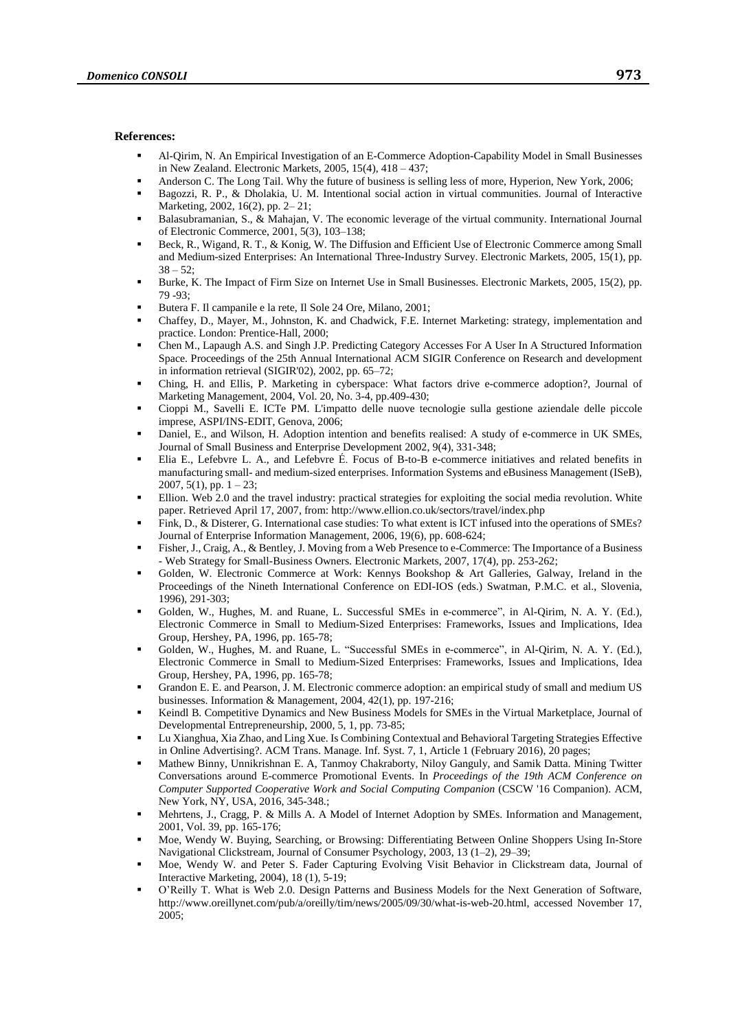#### **References:**

- Al-Qirim, N. An Empirical Investigation of an E-Commerce Adoption-Capability Model in Small Businesses in New Zealand. Electronic Markets, 2005, 15(4), 418 – 437;
- Anderson C. The Long Tail. Why the future of business is selling less of more, Hyperion, New York, 2006;
- Bagozzi, R. P., & Dholakia, U. M. Intentional social action in virtual communities. Journal of Interactive Marketing, 2002, 16(2), pp. 2– 21;
- Balasubramanian, S., & Mahajan, V. The economic leverage of the virtual community. International Journal of Electronic Commerce, 2001, 5(3), 103–138;
- Beck, R., Wigand, R. T., & Konig, W. The Diffusion and Efficient Use of Electronic Commerce among Small and Medium-sized Enterprises: An International Three-Industry Survey. Electronic Markets, 2005, 15(1), pp.  $38 - 52$ ;
- Burke, K. The Impact of Firm Size on Internet Use in Small Businesses. Electronic Markets, 2005, 15(2), pp. 79 -93;
- Butera F. Il campanile e la rete, Il Sole 24 Ore, Milano, 2001;
- Chaffey, D., Mayer, M., Johnston, K. and Chadwick, F.E. Internet Marketing: strategy, implementation and practice. London: Prentice-Hall, 2000;
- Chen M., Lapaugh A.S. and Singh J.P. Predicting Category Accesses For A User In A Structured Information Space. Proceedings of the 25th Annual International ACM SIGIR Conference on Research and development in information retrieval (SIGIR'02), 2002, pp. 65–72;
- Ching, H. and Ellis, P. Marketing in cyberspace: What factors drive e-commerce adoption?, Journal of Marketing Management, 2004, Vol. 20, No. 3-4, pp.409-430;
- Cioppi M., Savelli E. ICTe PM. L'impatto delle nuove tecnologie sulla gestione aziendale delle piccole imprese, ASPI/INS-EDIT, Genova, 2006;
- Daniel, E., and Wilson, H. Adoption intention and benefits realised: A study of e-commerce in UK SMEs, Journal of Small Business and Enterprise Development 2002, 9(4), 331-348;
- Elia E., Lefebvre L. A., and Lefebvre É. Focus of B-to-B e-commerce initiatives and related benefits in manufacturing small- and medium-sized enterprises. Information Systems and eBusiness Management (ISeB), 2007, 5(1), pp. 1 – 23;
- Ellion. Web 2.0 and the travel industry: practical strategies for exploiting the social media revolution. White paper. Retrieved April 17, 2007, from: http://www.ellion.co.uk/sectors/travel/index.php
- Fink, D., & Disterer, G. International case studies: To what extent is ICT infused into the operations of SMEs? Journal of Enterprise Information Management, 2006, 19(6), pp. 608-624;
- Fisher, J., Craig, A., & Bentley, J. Moving from a Web Presence to e-Commerce: The Importance of a Business - Web Strategy for Small-Business Owners. Electronic Markets, 2007, 17(4), pp. 253-262;
- Golden, W. Electronic Commerce at Work: Kennys Bookshop & Art Galleries, Galway, Ireland in the Proceedings of the Nineth International Conference on EDI-IOS (eds.) Swatman, P.M.C. et al., Slovenia, 1996), 291-303;
- Golden, W., Hughes, M. and Ruane, L. Successful SMEs in e-commerce", in Al-Qirim, N. A. Y. (Ed.), Electronic Commerce in Small to Medium-Sized Enterprises: Frameworks, Issues and Implications, Idea Group, Hershey, PA, 1996, pp. 165-78;
- Golden, W., Hughes, M. and Ruane, L. "Successful SMEs in e-commerce", in Al-Qirim, N. A. Y. (Ed.), Electronic Commerce in Small to Medium-Sized Enterprises: Frameworks, Issues and Implications, Idea Group, Hershey, PA, 1996, pp. 165-78;
- Grandon E. E. and Pearson, J. M. Electronic commerce adoption: an empirical study of small and medium US businesses. Information & Management, 2004, 42(1), pp. 197-216;
- Keindl B. Competitive Dynamics and New Business Models for SMEs in the Virtual Marketplace, Journal of Developmental Entrepreneurship, 2000, 5, 1, pp. 73-85;
- Lu Xianghua, Xia Zhao, and Ling Xue. Is Combining Contextual and Behavioral Targeting Strategies Effective in Online Advertising?. ACM Trans. Manage. Inf. Syst. 7, 1, Article 1 (February 2016), 20 pages;
- Mathew Binny, Unnikrishnan E. A, Tanmoy Chakraborty, Niloy Ganguly, and Samik Datta. Mining Twitter Conversations around E-commerce Promotional Events. In *Proceedings of the 19th ACM Conference on Computer Supported Cooperative Work and Social Computing Companion* (CSCW '16 Companion). ACM, New York, NY, USA, 2016, 345-348.;
- Mehrtens, J., Cragg, P. & Mills A. A Model of Internet Adoption by SMEs. Information and Management, 2001, Vol. 39, pp. 165-176;
- Moe, Wendy W. Buying, Searching, or Browsing: Differentiating Between Online Shoppers Using In-Store Navigational Clickstream, Journal of Consumer Psychology, 2003, 13 (1–2), 29–39;
- Moe, Wendy W. and Peter S. Fader Capturing Evolving Visit Behavior in Clickstream data, Journal of Interactive Marketing, 2004), 18 (1), 5-19;
- O'Reilly T. What is Web 2.0. Design Patterns and Business Models for the Next Generation of Software, http://www.oreillynet.com/pub/a/oreilly/tim/news/2005/09/30/what-is-web-20.html, accessed November 17, 2005;